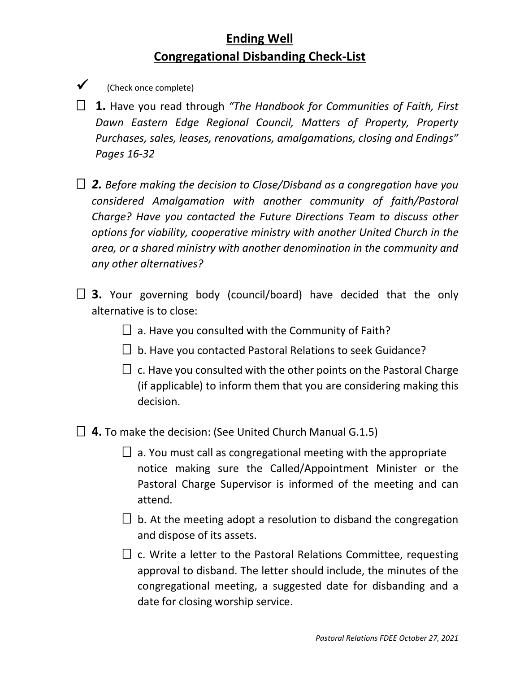## **Ending Well Congregational Disbanding Check-List**

- $\checkmark$  (Check once complete)
- **1.** Have you read through *"The Handbook for Communities of Faith, First Dawn Eastern Edge Regional Council, Matters of Property, Property Purchases, sales, leases, renovations, amalgamations, closing and Endings" Pages 16-32*
- *2. Before making the decision to Close/Disband as a congregation have you considered Amalgamation with another community of faith/Pastoral Charge? Have you contacted the Future Directions Team to discuss other options for viability, cooperative ministry with another United Church in the area, or a shared ministry with another denomination in the community and any other alternatives?*
- □ 3. Your governing body (council/board) have decided that the only alternative is to close:
	- $\Box$  a. Have you consulted with the Community of Faith?
	- $\Box$  b. Have you contacted Pastoral Relations to seek Guidance?
	- $\Box$  c. Have you consulted with the other points on the Pastoral Charge (if applicable) to inform them that you are considering making this decision.
- **4.** To make the decision: (See United Church Manual G.1.5)
	- $\Box$  a. You must call as congregational meeting with the appropriate notice making sure the Called/Appointment Minister or the Pastoral Charge Supervisor is informed of the meeting and can attend.
	- $\Box$  b. At the meeting adopt a resolution to disband the congregation and dispose of its assets.
	- $\Box$  c. Write a letter to the Pastoral Relations Committee, requesting approval to disband. The letter should include, the minutes of the congregational meeting, a suggested date for disbanding and a date for closing worship service.